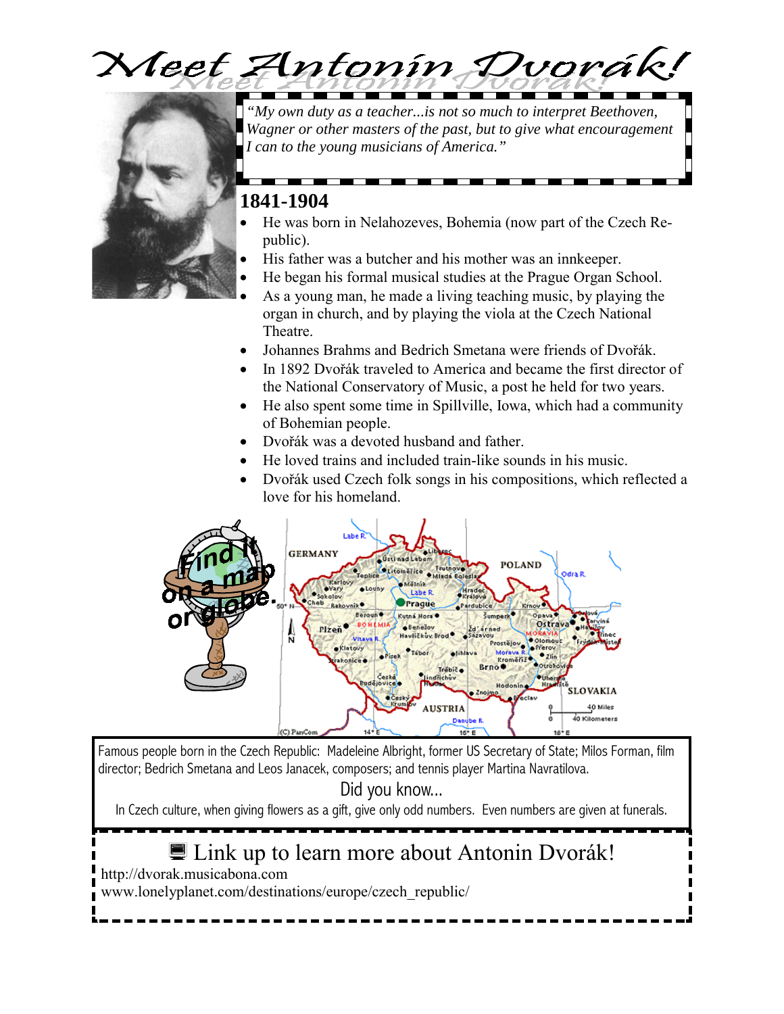

<u> La Barcelona de la Barcelona de la Barcelona de la Barcelona de la Barcelona de la Barcelona de la Barcelona de la Barcelona de la Barcelona de la Barcelona de la Barcelona de la Barcelona de la Barcelona de la Barcelona</u>



*"My own duty as a teacher...is not so much to interpret Beethoven, Wagner or other masters of the past, but to give what encouragement I can to the young musicians of America."* 

### **1841-1904**

- He was born in Nelahozeves, Bohemia (now part of the Czech Republic).
- His father was a butcher and his mother was an innkeeper.
- He began his formal musical studies at the Prague Organ School.
- As a young man, he made a living teaching music, by playing the organ in church, and by playing the viola at the Czech National Theatre.
- Johannes Brahms and Bedrich Smetana were friends of Dvořák.
- In 1892 Dvořák traveled to America and became the first director of the National Conservatory of Music, a post he held for two years.
- He also spent some time in Spillville, Iowa, which had a community of Bohemian people.
- Dvořák was a devoted husband and father.
- He loved trains and included train-like sounds in his music.
- Dvořák used Czech folk songs in his compositions, which reflected a love for his homeland.



Famous people born in the Czech Republic: Madeleine Albright, former US Secretary of State; Milos Forman, film director; Bedrich Smetana and Leos Janacek, composers; and tennis player Martina Navratilova.

Did you know...

In Czech culture, when giving flowers as a gift, give only odd numbers. Even numbers are given at funerals.

# ■ Link up to learn more about Antonin Dvorák!

http://dvorak.musicabona.com

www.lonelyplanet.com/destinations/europe/czech\_republic/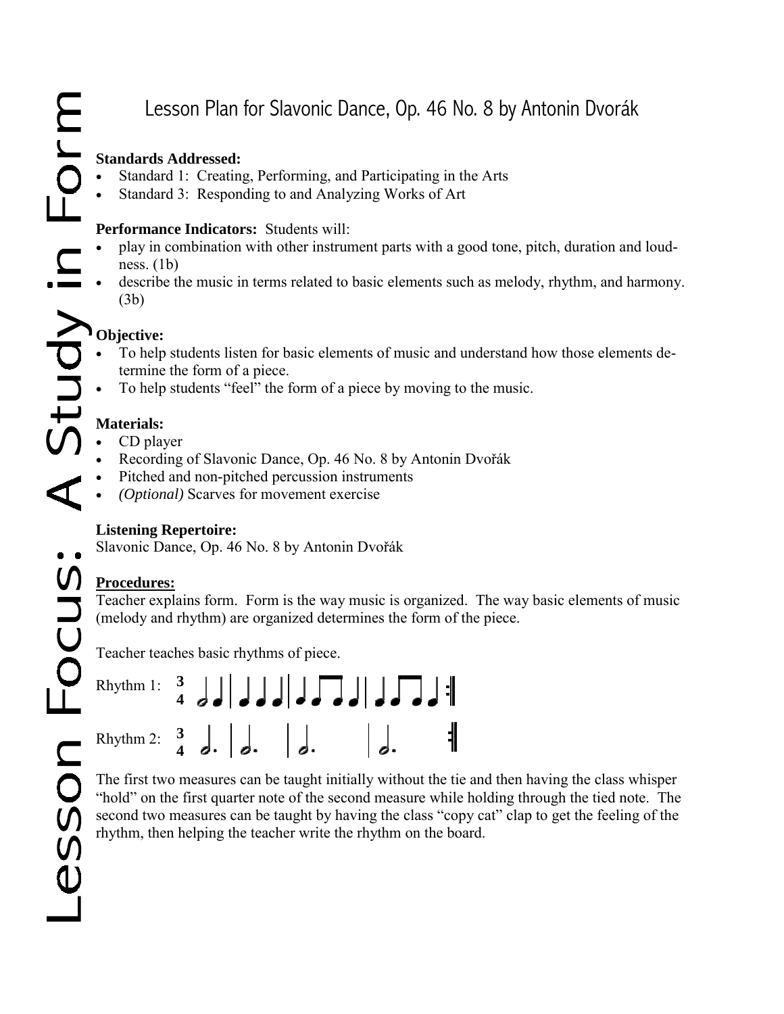# Lesson Plan for Slavonic Dance, Op. 46 No. 8 by Antonin Dvorák

#### **Standards Addressed:**

- Standard 1: Creating, Performing, and Participating in the Arts
- Standard 3: Responding to and Analyzing Works of Art

#### **Performance Indicators:** Students will:

- play in combination with other instrument parts with a good tone, pitch, duration and loudness.  $(1b)$
- describe the music in terms related to basic elements such as melody, rhythm, and harmony. (3b)

# **Objective:**

- To help students listen for basic elements of music and understand how those elements determine the form of a piece.
- To help students "feel" the form of a piece by moving to the music.

# **Materials:**

- CD player
- Recording of Slavonic Dance, Op. 46 No. 8 by Antonin Dvořák
- Pitched and non-pitched percussion instruments
- *(Optional)* Scarves for movement exercise

### **Listening Repertoire:**

Slavonic Dance, Op. 46 No. 8 by Antonin Dvořák

# **Procedures:**

Teacher explains form. Form is the way music is organized. The way basic elements of music (melody and rhythm) are organized determines the form of the piece.

Teacher teaches basic rhythms of piece.

| Rhythm 1: $\frac{3}{4}$ $\frac{1}{4}$ $\frac{1}{4}$ $\frac{1}{4}$ $\frac{1}{4}$ $\frac{1}{4}$ $\frac{1}{4}$ $\frac{1}{4}$ $\frac{1}{4}$          |  |  |                   |
|--------------------------------------------------------------------------------------------------------------------------------------------------|--|--|-------------------|
| Rhythm 2: $\begin{array}{cc} 3 \\ 4 \end{array}$ $\begin{array}{cc} \end{array}$ $\begin{array}{cc} \end{array}$ $\begin{array}{cc} \end{array}$ |  |  | $\vert$ , $\vert$ |

The first two measures can be taught initially without the tie and then having the class whisper "hold" on the first quarter note of the second measure while holding through the tied note. The second two measures can be taught by having the class "copy cat" clap to get the feeling of the rhythm, then helping the teacher write the rhythm on the board.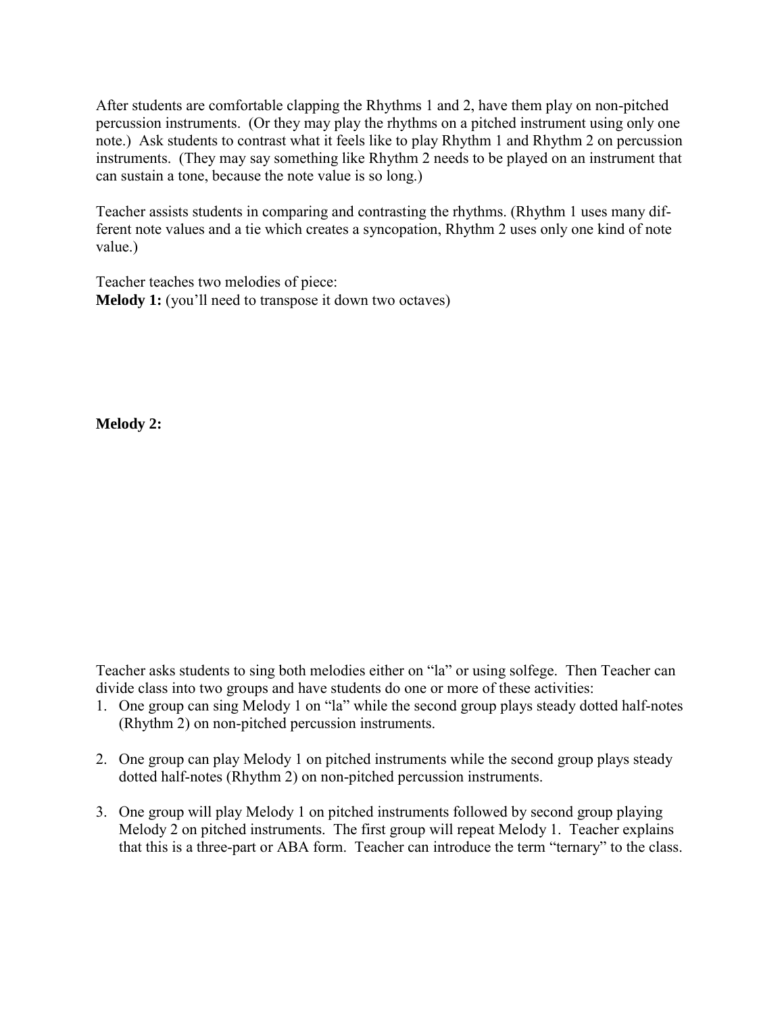After students are comfortable clapping the Rhythms 1 and 2, have them play on non-pitched percussion instruments. (Or they may play the rhythms on a pitched instrument using only one note.) Ask students to contrast what it feels like to play Rhythm 1 and Rhythm 2 on percussion instruments. (They may say something like Rhythm 2 needs to be played on an instrument that can sustain a tone, because the note value is so long.)

Teacher assists students in comparing and contrasting the rhythms. (Rhythm 1 uses many different note values and a tie which creates a syncopation, Rhythm 2 uses only one kind of note value.)

Teacher teaches two melodies of piece: **Melody 1:** (you'll need to transpose it down two octaves)

**Melody 2:** 

Teacher asks students to sing both melodies either on "la" or using solfege. Then Teacher can divide class into two groups and have students do one or more of these activities:

- 1. One group can sing Melody 1 on "la" while the second group plays steady dotted half-notes (Rhythm 2) on non-pitched percussion instruments.
- 2. One group can play Melody 1 on pitched instruments while the second group plays steady dotted half-notes (Rhythm 2) on non-pitched percussion instruments.
- 3. One group will play Melody 1 on pitched instruments followed by second group playing Melody 2 on pitched instruments. The first group will repeat Melody 1. Teacher explains that this is a three-part or ABA form. Teacher can introduce the term "ternary" to the class.